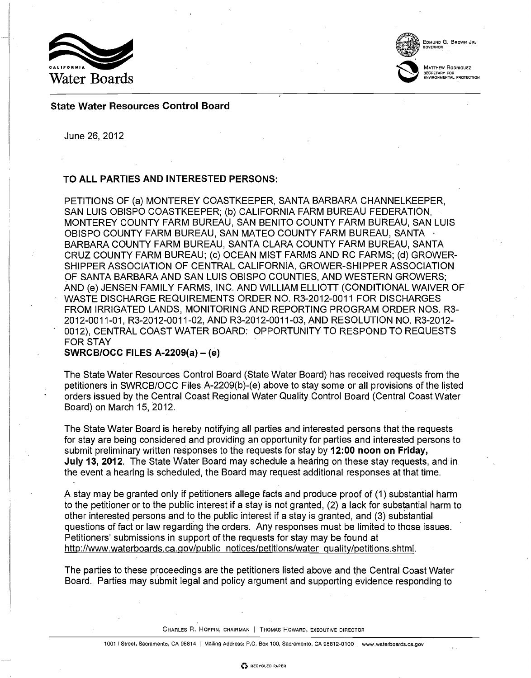

EDMUND G. BROWN JR.

GOVERNOR

MATTHEW RODRIOUEZ SECRETARY FOR ENVIRONMENTAL PROTECTION

# State Water Resources Control Board

June 26, 2012

# TO ALL PARTIES AND INTERESTED PERSONS:

PETITIONS OF (a) MONTEREY COASTKEEPER, SANTA BARBARA CHANNELKEEPER, SAN LUIS OBISPO COASTKEEPER; (b) CALIFORNIA FARM BUREAU FEDERATION, MONTEREY COUNTY FARM BUREAU, SAN BENITO COUNTY FARM BUREAU, SAN LUIS OBISPO COUNTY FARM BUREAU, SAN MATEO COUNTY FARM BUREAU, SANTA BARBARA COUNTY FARM BUREAU, SANTA CLARA COUNTY FARM BUREAU, SANTA CRUZ COUNTY FARM BUREAU; (c) OCEAN MIST FARMS AND RC FARMS; (d) GROWER-SHIPPER ASSOCIATION OF CENTRAL CALIFORNIA, GROWER-SHIPPER ASSOCIATION OF SANTA BARBARA AND SAN LUIS OBISPO COUNTIES, AND WESTERN GROWERS; AND (e) JENSEN FAMILY FARMS, INC. AND WILLIAM ELLIOTT (CONDITIONAL WAIVER OF WASTE DISCHARGE REQUIREMENTS ORDER NO. R3-2012-0011 FOR DISCHARGES FROM IRRIGATED LANDS, MONITORING AND REPORTING PROGRAM ORDER NOS. R3- 2012- 0011 -01, R3-2012-0011-02, AND R3-2012-0011-03, AND RESOLUTION NO. R3 -2012- 0012), CENTRAL COAST WATER BOARD: OPPORTUNITY TO RESPOND TO REQUESTS FOR STAY

SWRCB/OCC FILES A-2209(a)  $-$  (e)

The State Water Resources Control Board (State Water Board) has received requests from the petitioners in SWRCB/OCC Files A-2209(b)-(e) above to stay some or all provisions of the listed orders issued by the Central Coast Regional Water Quality Control Board (Central Coast Water Board) on March 15, 2012.

The State Water Board is hereby notifying all parties and interested persons that the requests for stay are being considered and providing an opportunity for parties and interested persons to submit preliminary written responses to the requests for stay by 12:00 noon on Friday, July 13, 2012. The State Water Board may schedule a hearing on these stay requests, and in the event a hearing is scheduled, the Board may request additional responses at that time.

A stay may be granted only if petitioners allege facts and produce proof of (1) substantial harm to the petitioner or to the public interest if a stay is not granted, (2) a lack for substantial harm to other interested persons and to the public interest if a stay is granted, and (3) substantial questions of fact or law regarding the orders. Any responses must be limited to those issues. Petitioners' submissions in support of the requests for stay may be found at http://www.waterboards.ca.qov/public notices/petitions/water quality/petitions.shtml.

The parties to these proceedings are the petitioners listed above and the Central Coast Water Board. Parties may submit legal and policy argument and supporting evidence responding to

CHARLES R. HOPPIN, CHAIRMAN <sup>I</sup> THOMAS HOWARD, EXECUTIVE DIRECTOR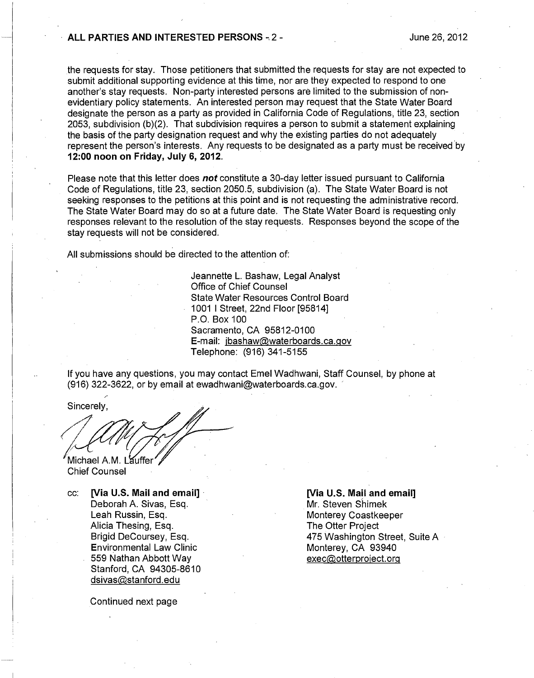## ALL PARTIES AND INTERESTED PERSONS - 2 - The state of the state of the state of the state of the state of the state of the state of the state of the state of the state of the state of the state of the state of the state of

the requests for stay. Those petitioners that submitted the requests for stay are not expected to submit additional supporting evidence at this time, nor are they expected to respond to one another's stay requests. Non-party interested persons are limited to the submission of nonevidentiary policy statements. An interested person may request that the State Water Board designate the person as a party as provided in California Code of Regulations, title 23, section 2053, subdivision (b)(2). That subdivision requires a person to submit a statement explaining the basis of the party designation request and why the existing parties do not adequately represent the person's interests. Any requests to be designated as a party must be received by 12:00 noon on Friday, July 6, 2012.

Please note that this letter does **not** constitute a 30-day letter issued pursuant to California Code of Regulations, title 23, section 2050.5, subdivision (a). The State Water Board is not seeking responses to the petitions at this point and is not requesting the administrative record. The State Water Board may do so at a future date. The State Water Board is requesting only responses relevant to the resolution of the stay requests. Responses beyond the scope of the stay requests will not be considered.

All submissions should be directed to the attention of:

Jeannette L. Bashaw, Legal Analyst Office of Chief Counsel State Water Resources Control Board 1001 I Street, 22nd Floor [95814] P.O. Box 100 Sacramento, CA 95812-0100 E-mail: ibashaw@waterboards.ca.gov Telephone: (916) 341-5155

If you have any questions, you may contact Emel Wadhwani, Staff Counsel, by phone at (916) 322-3622, or by email at ewadhwani@waterboards.ca.gov.

Sincerely,

Michael A.M. Lauffer Chief Counsel

cc: [Via U.S. Mail and email] Deborah A. Sivas, Esq. Leah Russin, Esq. Alicia Thesing, Esq. Brigid DeCoursey, Esq. Environmental Law Clinic 559 Nathan Abbott Way Stanford, CA 94305-8610 dsivas@stanford.edu

[Via U.S. Mail and email] Mr. Steven Shimek

Monterey Coastkeeper The Otter Project 475 Washington Street, Suite A Monterey, CA 93940 exec@otterproiect.org

Continued next page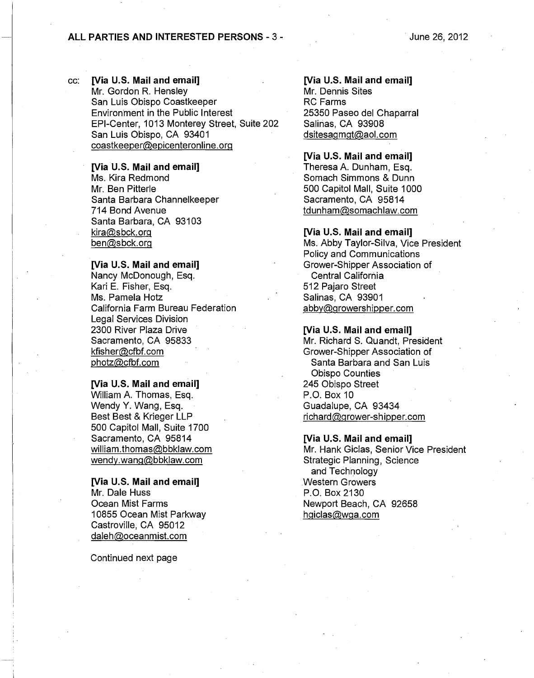# ALL PARTIES AND INTERESTED PERSONS - 3 -

cc: [Via U.S. Mail and email] Mr. Gordon R. Hensley San Luis Obispo Coastkeeper Environment in the Public Interest EPI-Center, 1013 Monterey Street, Suite 202 San Luis Obispo, CA 93401 coastkeeper@epicenteronline.org

[Via U.S. Mail and email]

Ms. Kira Redmond Mr. Ben Pitterle Santa Barbara Channelkeeper 714 Bond Avenue Santa Barbara, CA 93103 kira@sbck.org ben@sbck.org

### [Via U.S. Mail and email]

Nancy McDonough, Esq. Kari E. Fisher, Esq. Ms. Pamela Hotz California Farm Bureau Federation Legal Services Division 2300 River Plaza Drive Sacramento, CA 95833 kfisher@cfbf.com photz@cfbf.com

### [Via U.S. Mail and email]

William A. Thomas, Esq. Wendy Y. Wang, Esq. Best Best & Krieger LLP 500 Capitol Mall, Suite 1700 Sacramento, CA 95814 william.thomas@bbklaw.com wendy.wang@bbklaw.com

# [Via U.S. Mail and email] Mr. Dale Huss

Ocean Mist Farms 10855 Ocean Mist Parkway Castroville, CA 95012 daleh@oceanmist.com

Continued next page

# [Via U.S. Mail and email]

Mr. Dennis Sites RC Farms 25350 Paseo del Chaparral Salinas, CA 93908 dsitesagmgt@aol.com

### [Via U.S. Mail and email]

Theresa A. Dunham, Esq. Somach Simmons & Dunn 500 Capitol Mall, Suite 1000 Sacramento, CA 95814 tdunham@somachlaw.com

# [Via U.S. Mail and email]

Ms. Abby Taylor-Silva, Vice President Policy and Communications Grower-Shipper Association of Central California 512 Pajaro Street Salinas, CA 93901 abby@growershipper.com

# [Via U.S. Mail and email]

Mr. Richard S. Quandt, President Grower-Shipper Association of Santa Barbara and San Luis Obispo Counties 245 Obispo Street P.O. Box 10 Guadalupe, CA 93434 richard@grower-shipper.com

## [Via U.S. Mail and email]

Mr. Hank Giclas, Senior Vice President Strategic Planning, Science and Technology Western Growers P.O. Box 2130 Newport Beach, CA 92658 hqiclas@wga.com